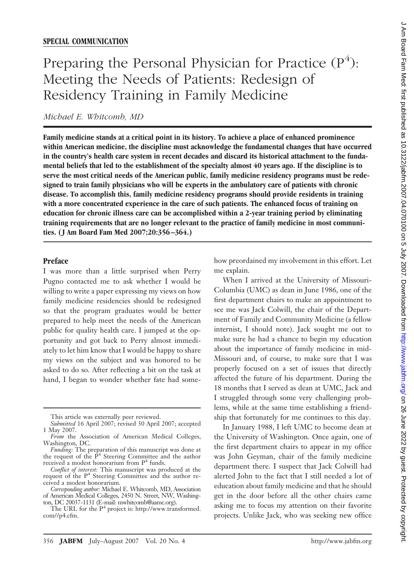# Preparing the Personal Physician for Practice  $(P^4)$ : Meeting the Needs of Patients: Redesign of Residency Training in Family Medicine

*Michael E. Whitcomb, MD*

**Family medicine stands at a critical point in its history. To achieve a place of enhanced prominence within American medicine, the discipline must acknowledge the fundamental changes that have occurred in the country's health care system in recent decades and discard its historical attachment to the fundamental beliefs that led to the establishment of the specialty almost 40 years ago. If the discipline is to serve the most critical needs of the American public, family medicine residency programs must be redesigned to train family physicians who will be experts in the ambulatory care of patients with chronic disease. To accomplish this, family medicine residency programs should provide residents in training with a more concentrated experience in the care of such patients. The enhanced focus of training on education for chronic illness care can be accomplished within a 2-year training period by eliminating training requirements that are no longer relevant to the practice of family medicine in most communities. ( J Am Board Fam Med 2007;20:356 –364.)**

#### **Preface**

I was more than a little surprised when Perry Pugno contacted me to ask whether I would be willing to write a paper expressing my views on how family medicine residencies should be redesigned so that the program graduates would be better prepared to help meet the needs of the American public for quality health care. I jumped at the opportunity and got back to Perry almost immediately to let him know that I would be happy to share my views on the subject and was honored to be asked to do so. After reflecting a bit on the task at hand, I began to wonder whether fate had somehow preordained my involvement in this effort. Let me explain.

When I arrived at the University of Missouri-Columbia (UMC) as dean in June 1986, one of the first department chairs to make an appointment to see me was Jack Colwill, the chair of the Department of Family and Community Medicine (a fellow internist, I should note). Jack sought me out to make sure he had a chance to begin my education about the importance of family medicine in mid-Missouri and, of course, to make sure that I was properly focused on a set of issues that directly affected the future of his department. During the 18 months that I served as dean at UMC, Jack and I struggled through some very challenging problems, while at the same time establishing a friendship that fortunately for me continues to this day.

In January 1988, I left UMC to become dean at the University of Washington. Once again, one of the first department chairs to appear in my office was John Geyman, chair of the family medicine department there. I suspect that Jack Colwill had alerted John to the fact that I still needed a lot of education about family medicine and that he should get in the door before all the other chairs came asking me to focus my attention on their favorite projects. Unlike Jack, who was seeking new office

This article was externally peer reviewed.

*Submitted* 16 April 2007; revised 30 April 2007; accepted 1 May 2007.

*From* the Association of American Medical Colleges, Washington, DC.

*Funding:* The preparation of this manuscript was done at the request of the  $P<sup>4</sup>$  Steering Committee and the author received a modest honorarium from  $P<sup>4</sup>$  funds.

*Conflict of interest:* This manuscript was produced at the request of the P<sup>4</sup> Steering Committee and the author received a modest honorarium.

*Corresponding author:* Michael E. Whitcomb, MD, Association of American Medical Colleges, 2450 N. Street, NW, Washington, DC 20037-1131 (E-mail: mwhitcomb@aamc.org).

The URL for the P<sup>4</sup> project is: http://www.transformed. com//p4.cfm.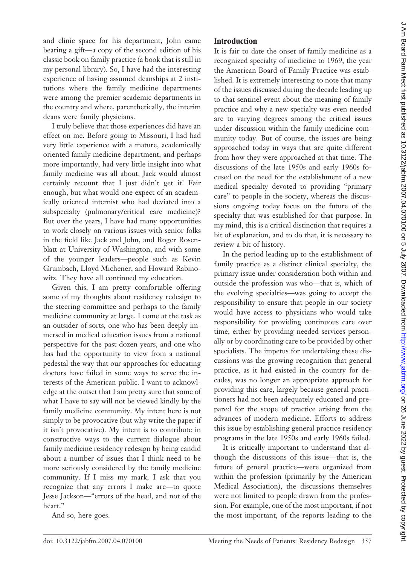and clinic space for his department, John came bearing a gift—a copy of the second edition of his classic book on family practice (a book that is still in my personal library). So, I have had the interesting experience of having assumed deanships at 2 institutions where the family medicine departments were among the premier academic departments in the country and where, parenthetically, the interim deans were family physicians.

I truly believe that those experiences did have an effect on me. Before going to Missouri, I had had very little experience with a mature, academically oriented family medicine department, and perhaps more importantly, had very little insight into what family medicine was all about. Jack would almost certainly recount that I just didn't get it! Fair enough, but what would one expect of an academically oriented internist who had deviated into a subspecialty (pulmonary/critical care medicine)? But over the years, I have had many opportunities to work closely on various issues with senior folks in the field like Jack and John, and Roger Rosenblatt at University of Washington, and with some of the younger leaders—people such as Kevin Grumbach, Lloyd Michener, and Howard Rabinowitz. They have all continued my education.

Given this, I am pretty comfortable offering some of my thoughts about residency redesign to the steering committee and perhaps to the family medicine community at large. I come at the task as an outsider of sorts, one who has been deeply immersed in medical education issues from a national perspective for the past dozen years, and one who has had the opportunity to view from a national pedestal the way that our approaches for educating doctors have failed in some ways to serve the interests of the American public. I want to acknowledge at the outset that I am pretty sure that some of what I have to say will not be viewed kindly by the family medicine community. My intent here is not simply to be provocative (but why write the paper if it isn't provocative). My intent is to contribute in constructive ways to the current dialogue about family medicine residency redesign by being candid about a number of issues that I think need to be more seriously considered by the family medicine community. If I miss my mark, I ask that you recognize that any errors I make are—to quote Jesse Jackson—"errors of the head, and not of the heart."

And so, here goes.

#### **Introduction**

It is fair to date the onset of family medicine as a recognized specialty of medicine to 1969, the year the American Board of Family Practice was established. It is extremely interesting to note that many of the issues discussed during the decade leading up to that sentinel event about the meaning of family practice and why a new specialty was even needed are to varying degrees among the critical issues under discussion within the family medicine community today. But of course, the issues are being approached today in ways that are quite different from how they were approached at that time. The discussions of the late 1950s and early 1960s focused on the need for the establishment of a new medical specialty devoted to providing "primary care" to people in the society, whereas the discussions ongoing today focus on the future of the specialty that was established for that purpose. In my mind, this is a critical distinction that requires a bit of explanation, and to do that, it is necessary to review a bit of history.

In the period leading up to the establishment of family practice as a distinct clinical specialty, the primary issue under consideration both within and outside the profession was who—that is, which of the evolving specialties—was going to accept the responsibility to ensure that people in our society would have access to physicians who would take responsibility for providing continuous care over time, either by providing needed services personally or by coordinating care to be provided by other specialists. The impetus for undertaking these discussions was the growing recognition that general practice, as it had existed in the country for decades, was no longer an appropriate approach for providing this care, largely because general practitioners had not been adequately educated and prepared for the scope of practice arising from the advances of modern medicine. Efforts to address this issue by establishing general practice residency programs in the late 1950s and early 1960s failed.

It is critically important to understand that although the discussions of this issue—that is, the future of general practice—were organized from within the profession (primarily by the American Medical Association), the discussions themselves were not limited to people drawn from the profession. For example, one of the most important, if not the most important, of the reports leading to the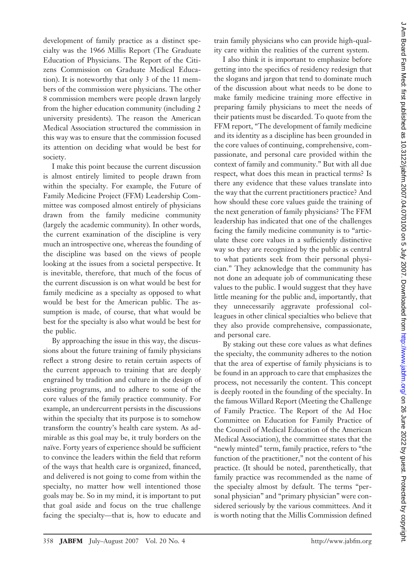development of family practice as a distinct specialty was the 1966 Millis Report (The Graduate Education of Physicians. The Report of the Citizens Commission on Graduate Medical Education). It is noteworthy that only 3 of the 11 members of the commission were physicians. The other 8 commission members were people drawn largely from the higher education community (including 2 university presidents). The reason the American Medical Association structured the commission in this way was to ensure that the commission focused its attention on deciding what would be best for society.

I make this point because the current discussion is almost entirely limited to people drawn from within the specialty. For example, the Future of Family Medicine Project (FFM) Leadership Committee was composed almost entirely of physicians drawn from the family medicine community (largely the academic community). In other words, the current examination of the discipline is very much an introspective one, whereas the founding of the discipline was based on the views of people looking at the issues from a societal perspective. It is inevitable, therefore, that much of the focus of the current discussion is on what would be best for family medicine as a specialty as opposed to what would be best for the American public. The assumption is made, of course, that what would be best for the specialty is also what would be best for the public.

By approaching the issue in this way, the discussions about the future training of family physicians reflect a strong desire to retain certain aspects of the current approach to training that are deeply engrained by tradition and culture in the design of existing programs, and to adhere to some of the core values of the family practice community. For example, an undercurrent persists in the discussions within the specialty that its purpose is to somehow transform the country's health care system. As admirable as this goal may be, it truly borders on the naïve. Forty years of experience should be sufficient to convince the leaders within the field that reform of the ways that health care is organized, financed, and delivered is not going to come from within the specialty, no matter how well intentioned those goals may be. So in my mind, it is important to put that goal aside and focus on the true challenge facing the specialty—that is, how to educate and

train family physicians who can provide high-quality care within the realities of the current system.

I also think it is important to emphasize before getting into the specifics of residency redesign that the slogans and jargon that tend to dominate much of the discussion about what needs to be done to make family medicine training more effective in preparing family physicians to meet the needs of their patients must be discarded. To quote from the FFM report, "The development of family medicine and its identity as a discipline has been grounded in the core values of continuing, comprehensive, compassionate, and personal care provided within the context of family and community." But with all due respect, what does this mean in practical terms? Is there any evidence that these values translate into the way that the current practitioners practice? And how should these core values guide the training of the next generation of family physicians? The FFM leadership has indicated that one of the challenges facing the family medicine community is to "articulate these core values in a sufficiently distinctive way so they are recognized by the public as central to what patients seek from their personal physician." They acknowledge that the community has not done an adequate job of communicating these values to the public. I would suggest that they have little meaning for the public and, importantly, that they unnecessarily aggravate professional colleagues in other clinical specialties who believe that they also provide comprehensive, compassionate, and personal care.

By staking out these core values as what defines the specialty, the community adheres to the notion that the area of expertise of family physicians is to be found in an approach to care that emphasizes the process, not necessarily the content. This concept is deeply rooted in the founding of the specialty. In the famous Willard Report (Meeting the Challenge of Family Practice. The Report of the Ad Hoc Committee on Education for Family Practice of the Council of Medical Education of the American Medical Association), the committee states that the "newly minted" term, family practice, refers to "the function of the practitioner," not the content of his practice. (It should be noted, parenthetically, that family practice was recommended as the name of the specialty almost by default. The terms "personal physician" and "primary physician" were considered seriously by the various committees. And it is worth noting that the Millis Commission defined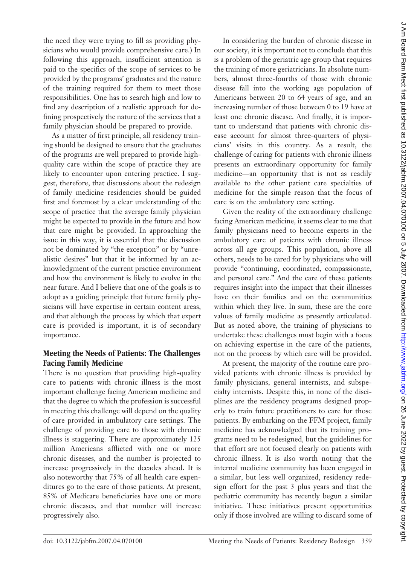the need they were trying to fill as providing physicians who would provide comprehensive care.) In following this approach, insufficient attention is paid to the specifics of the scope of services to be provided by the programs' graduates and the nature of the training required for them to meet those responsibilities. One has to search high and low to find any description of a realistic approach for defining prospectively the nature of the services that a family physician should be prepared to provide.

As a matter of first principle, all residency training should be designed to ensure that the graduates of the programs are well prepared to provide highquality care within the scope of practice they are likely to encounter upon entering practice. I suggest, therefore, that discussions about the redesign of family medicine residencies should be guided first and foremost by a clear understanding of the scope of practice that the average family physician might be expected to provide in the future and how that care might be provided. In approaching the issue in this way, it is essential that the discussion not be dominated by "the exception" or by "unrealistic desires" but that it be informed by an acknowledgment of the current practice environment and how the environment is likely to evolve in the near future. And I believe that one of the goals is to adopt as a guiding principle that future family physicians will have expertise in certain content areas, and that although the process by which that expert care is provided is important, it is of secondary importance.

# **Meeting the Needs of Patients: The Challenges Facing Family Medicine**

There is no question that providing high-quality care to patients with chronic illness is the most important challenge facing American medicine and that the degree to which the profession is successful in meeting this challenge will depend on the quality of care provided in ambulatory care settings. The challenge of providing care to those with chronic illness is staggering. There are approximately 125 million Americans afflicted with one or more chronic diseases, and the number is projected to increase progressively in the decades ahead. It is also noteworthy that 75% of all health care expenditures go to the care of those patients. At present, 85% of Medicare beneficiaries have one or more chronic diseases, and that number will increase progressively also.

In considering the burden of chronic disease in our society, it is important not to conclude that this is a problem of the geriatric age group that requires the training of more geriatricians. In absolute numbers, almost three-fourths of those with chronic disease fall into the working age population of Americans between 20 to 64 years of age, and an increasing number of those between 0 to 19 have at least one chronic disease. And finally, it is important to understand that patients with chronic disease account for almost three-quarters of physicians' visits in this country. As a result, the challenge of caring for patients with chronic illness presents an extraordinary opportunity for family medicine—an opportunity that is not as readily available to the other patient care specialties of medicine for the simple reason that the focus of care is on the ambulatory care setting.

Given the reality of the extraordinary challenge facing American medicine, it seems clear to me that family physicians need to become experts in the ambulatory care of patients with chronic illness across all age groups. This population, above all others, needs to be cared for by physicians who will provide "continuing, coordinated, compassionate, and personal care." And the care of these patients requires insight into the impact that their illnesses have on their families and on the communities within which they live. In sum, these are the core values of family medicine as presently articulated. But as noted above, the training of physicians to undertake these challenges must begin with a focus on achieving expertise in the care of the patients, not on the process by which care will be provided.

At present, the majority of the routine care provided patients with chronic illness is provided by family physicians, general internists, and subspecialty internists. Despite this, in none of the disciplines are the residency programs designed properly to train future practitioners to care for those patients. By embarking on the FFM project, family medicine has acknowledged that its training programs need to be redesigned, but the guidelines for that effort are not focused clearly on patients with chronic illness. It is also worth noting that the internal medicine community has been engaged in a similar, but less well organized, residency redesign effort for the past 3 plus years and that the pediatric community has recently begun a similar initiative. These initiatives present opportunities only if those involved are willing to discard some of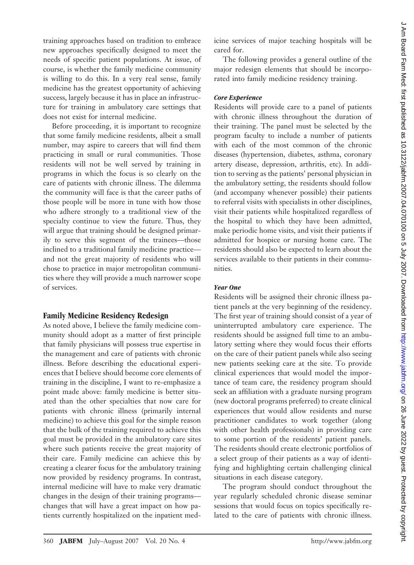training approaches based on tradition to embrace new approaches specifically designed to meet the needs of specific patient populations. At issue, of course, is whether the family medicine community is willing to do this. In a very real sense, family medicine has the greatest opportunity of achieving success, largely because it has in place an infrastructure for training in ambulatory care settings that does not exist for internal medicine.

Before proceeding, it is important to recognize that some family medicine residents, albeit a small number, may aspire to careers that will find them practicing in small or rural communities. Those residents will not be well served by training in programs in which the focus is so clearly on the care of patients with chronic illness. The dilemma the community will face is that the career paths of those people will be more in tune with how those who adhere strongly to a traditional view of the specialty continue to view the future. Thus, they will argue that training should be designed primarily to serve this segment of the trainees—those inclined to a traditional family medicine practice and not the great majority of residents who will chose to practice in major metropolitan communities where they will provide a much narrower scope of services.

#### **Family Medicine Residency Redesign**

As noted above, I believe the family medicine community should adopt as a matter of first principle that family physicians will possess true expertise in the management and care of patients with chronic illness. Before describing the educational experiences that I believe should become core elements of training in the discipline, I want to re-emphasize a point made above: family medicine is better situated than the other specialties that now care for patients with chronic illness (primarily internal medicine) to achieve this goal for the simple reason that the bulk of the training required to achieve this goal must be provided in the ambulatory care sites where such patients receive the great majority of their care. Family medicine can achieve this by creating a clearer focus for the ambulatory training now provided by residency programs. In contrast, internal medicine will have to make very dramatic changes in the design of their training programs changes that will have a great impact on how patients currently hospitalized on the inpatient medicine services of major teaching hospitals will be cared for.

The following provides a general outline of the major redesign elements that should be incorporated into family medicine residency training.

#### *Core Experience*

Residents will provide care to a panel of patients with chronic illness throughout the duration of their training. The panel must be selected by the program faculty to include a number of patients with each of the most common of the chronic diseases (hypertension, diabetes, asthma, coronary artery disease, depression, arthritis, etc). In addition to serving as the patients' personal physician in the ambulatory setting, the residents should follow (and accompany whenever possible) their patients to referral visits with specialists in other disciplines, visit their patients while hospitalized regardless of the hospital to which they have been admitted, make periodic home visits, and visit their patients if admitted for hospice or nursing home care. The residents should also be expected to learn about the services available to their patients in their communities.

# *Year One*

Residents will be assigned their chronic illness patient panels at the very beginning of the residency. The first year of training should consist of a year of uninterrupted ambulatory care experience. The residents should be assigned full time to an ambulatory setting where they would focus their efforts on the care of their patient panels while also seeing new patients seeking care at the site. To provide clinical experiences that would model the importance of team care, the residency program should seek an affiliation with a graduate nursing program (new doctoral programs preferred) to create clinical experiences that would allow residents and nurse practitioner candidates to work together (along with other health professionals) in providing care to some portion of the residents' patient panels. The residents should create electronic portfolios of a select group of their patients as a way of identifying and highlighting certain challenging clinical situations in each disease category.

The program should conduct throughout the year regularly scheduled chronic disease seminar sessions that would focus on topics specifically related to the care of patients with chronic illness.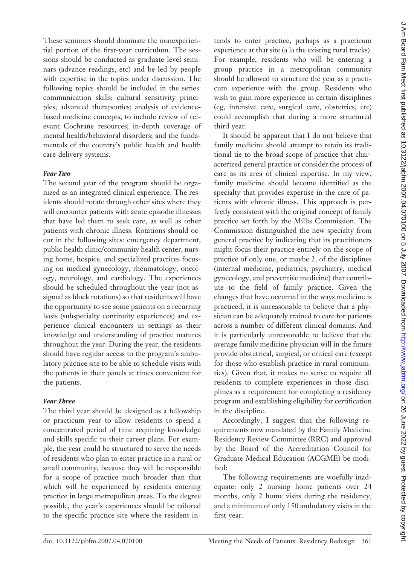These seminars should dominate the nonexperiential portion of the first-year curriculum. The sessions should be conducted as graduate-level seminars (advance readings, etc) and be led by people with expertise in the topics under discussion. The following topics should be included in the series: communication skills; cultural sensitivity principles; advanced therapeutics; analysis of evidencebased medicine concepts, to include review of relevant Cochrane resources; in-depth coverage of mental health/behavioral disorders; and the fundamentals of the country's public health and health care delivery systems.

#### *Year Two*

The second year of the program should be organized as an integrated clinical experience. The residents should rotate through other sites where they will encounter patients with acute episodic illnesses that have led them to seek care, as well as other patients with chronic illness. Rotations should occur in the following sites: emergency department, public health clinic/community health center, nursing home, hospice, and specialized practices focusing on medical gynecology, rheumatology, oncology, neurology, and cardiology. The experiences should be scheduled throughout the year (not assigned as block rotations) so that residents will have the opportunity to see some patients on a recurring basis (subspecialty continuity experiences) and experience clinical encounters in settings as their knowledge and understanding of practice matures throughout the year. During the year, the residents should have regular access to the program's ambulatory practice site to be able to schedule visits with the patients in their panels at times convenient for the patients.

# *Year Three*

The third year should be designed as a fellowship or practicum year to allow residents to spend a concentrated period of time acquiring knowledge and skills specific to their career plans. For example, the year could be structured to serve the needs of residents who plan to enter practice in a rural or small community, because they will be responsible for a scope of practice much broader than that which will be experienced by residents entering practice in large metropolitan areas. To the degree possible, the year's experiences should be tailored to the specific practice site where the resident intends to enter practice, perhaps as a practicum experience at that site (a la the existing rural tracks). For example, residents who will be entering a group practice in a metropolitan community should be allowed to structure the year as a practicum experience with the group. Residents who wish to gain more experience in certain disciplines (eg, intensive care, surgical care, obstetrics, etc) could accomplish that during a more structured third year.

It should be apparent that I do not believe that family medicine should attempt to retain its traditional tie to the broad scope of practice that characterized general practice or consider the process of care as its area of clinical expertise. In my view, family medicine should become identified as the specialty that provides expertise in the care of patients with chronic illness. This approach is perfectly consistent with the original concept of family practice set forth by the Millis Commission. The Commission distinguished the new specialty from general practice by indicating that its practitioners might focus their practice entirely on the scope of practice of only one, or maybe 2, of the disciplines (internal medicine, pediatrics, psychiatry, medical gynecology, and preventive medicine) that contribute to the field of family practice. Given the changes that have occurred in the ways medicine is practiced, it is unreasonable to believe that a physician can be adequately trained to care for patients across a number of different clinical domains. And it is particularly unreasonable to believe that the average family medicine physician will in the future provide obstetrical, surgical, or critical care (except for those who establish practice in rural communities). Given that, it makes no sense to require all residents to complete experiences in those disciplines as a requirement for completing a residency program and establishing eligibility for certification in the discipline.

Accordingly, I suggest that the following requirements now mandated by the Family Medicine Residency Review Committee (RRC) and approved by the Board of the Accreditation Council for Graduate Medical Education (ACGME) be modified:

The following requirements are woefully inadequate: only 2 nursing home patients over 24 months, only 2 home visits during the residency, and a minimum of only 150 ambulatory visits in the first year.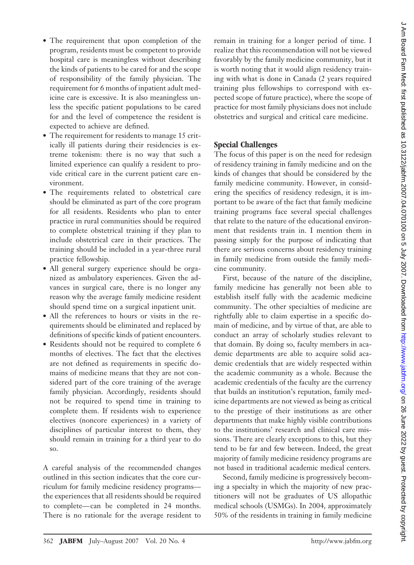- The requirement that upon completion of the program, residents must be competent to provide hospital care is meaningless without describing the kinds of patients to be cared for and the scope of responsibility of the family physician. The requirement for 6 months of inpatient adult medicine care is excessive. It is also meaningless unless the specific patient populations to be cared for and the level of competence the resident is expected to achieve are defined.
- The requirement for residents to manage 15 critically ill patients during their residencies is extreme tokenism: there is no way that such a limited experience can qualify a resident to provide critical care in the current patient care environment.
- The requirements related to obstetrical care should be eliminated as part of the core program for all residents. Residents who plan to enter practice in rural communities should be required to complete obstetrical training if they plan to include obstetrical care in their practices. The training should be included in a year-three rural practice fellowship.
- All general surgery experience should be organized as ambulatory experiences. Given the advances in surgical care, there is no longer any reason why the average family medicine resident should spend time on a surgical inpatient unit.
- All the references to hours or visits in the requirements should be eliminated and replaced by definitions of specific kinds of patient encounters.
- Residents should not be required to complete 6 months of electives. The fact that the electives are not defined as requirements in specific domains of medicine means that they are not considered part of the core training of the average family physician. Accordingly, residents should not be required to spend time in training to complete them. If residents wish to experience electives (noncore experiences) in a variety of disciplines of particular interest to them, they should remain in training for a third year to do so.

A careful analysis of the recommended changes outlined in this section indicates that the core curriculum for family medicine residency programs the experiences that all residents should be required to complete— can be completed in 24 months. There is no rationale for the average resident to remain in training for a longer period of time. I realize that this recommendation will not be viewed favorably by the family medicine community, but it is worth noting that it would align residency training with what is done in Canada (2 years required training plus fellowships to correspond with expected scope of future practice), where the scope of practice for most family physicians does not include obstetrics and surgical and critical care medicine.

# **Special Challenges**

The focus of this paper is on the need for redesign of residency training in family medicine and on the kinds of changes that should be considered by the family medicine community. However, in considering the specifics of residency redesign, it is important to be aware of the fact that family medicine training programs face several special challenges that relate to the nature of the educational environment that residents train in. I mention them in passing simply for the purpose of indicating that there are serious concerns about residency training in family medicine from outside the family medicine community.

First, because of the nature of the discipline, family medicine has generally not been able to establish itself fully with the academic medicine community. The other specialties of medicine are rightfully able to claim expertise in a specific domain of medicine, and by virtue of that, are able to conduct an array of scholarly studies relevant to that domain. By doing so, faculty members in academic departments are able to acquire solid academic credentials that are widely respected within the academic community as a whole. Because the academic credentials of the faculty are the currency that builds an institution's reputation, family medicine departments are not viewed as being as critical to the prestige of their institutions as are other departments that make highly visible contributions to the institutions' research and clinical care missions. There are clearly exceptions to this, but they tend to be far and few between. Indeed, the great majority of family medicine residency programs are not based in traditional academic medical centers.

Second, family medicine is progressively becoming a specialty in which the majority of new practitioners will not be graduates of US allopathic medical schools (USMGs). In 2004, approximately 50% of the residents in training in family medicine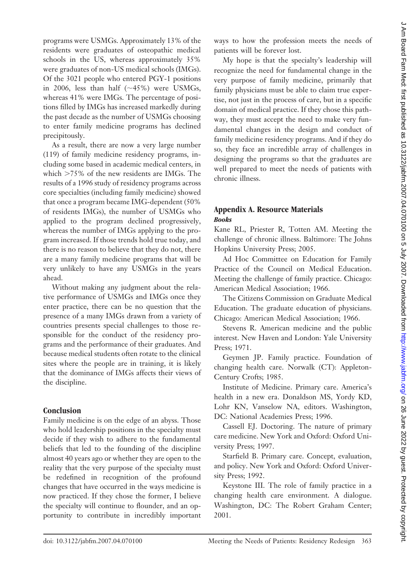programs were USMGs. Approximately 13% of the residents were graduates of osteopathic medical schools in the US, whereas approximately 35% were graduates of non-US medical schools (IMGs). Of the 3021 people who entered PGY-1 positions in 2006, less than half  $(\sim45\%)$  were USMGs, whereas 41% were IMGs. The percentage of positions filled by IMGs has increased markedly during the past decade as the number of USMGs choosing to enter family medicine programs has declined precipitously.

As a result, there are now a very large number (119) of family medicine residency programs, including some based in academic medical centers, in which -75% of the new residents are IMGs. The results of a 1996 study of residency programs across core specialties (including family medicine) showed that once a program became IMG-dependent (50% of residents IMGs), the number of USMGs who applied to the program declined progressively, whereas the number of IMGs applying to the program increased. If those trends hold true today, and there is no reason to believe that they do not, there are a many family medicine programs that will be very unlikely to have any USMGs in the years ahead.

Without making any judgment about the relative performance of USMGs and IMGs once they enter practice, there can be no question that the presence of a many IMGs drawn from a variety of countries presents special challenges to those responsible for the conduct of the residency programs and the performance of their graduates. And because medical students often rotate to the clinical sites where the people are in training, it is likely that the dominance of IMGs affects their views of the discipline.

# **Conclusion**

Family medicine is on the edge of an abyss. Those who hold leadership positions in the specialty must decide if they wish to adhere to the fundamental beliefs that led to the founding of the discipline almost 40 years ago or whether they are open to the reality that the very purpose of the specialty must be redefined in recognition of the profound changes that have occurred in the ways medicine is now practiced. If they chose the former, I believe the specialty will continue to flounder, and an opportunity to contribute in incredibly important ways to how the profession meets the needs of patients will be forever lost.

My hope is that the specialty's leadership will recognize the need for fundamental change in the very purpose of family medicine, primarily that family physicians must be able to claim true expertise, not just in the process of care, but in a specific domain of medical practice. If they chose this pathway, they must accept the need to make very fundamental changes in the design and conduct of family medicine residency programs. And if they do so, they face an incredible array of challenges in designing the programs so that the graduates are well prepared to meet the needs of patients with chronic illness.

# **Appendix A. Resource Materials** *Books*

Kane RL, Priester R, Totten AM. Meeting the challenge of chronic illness. Baltimore: The Johns Hopkins University Press; 2005.

Ad Hoc Committee on Education for Family Practice of the Council on Medical Education. Meeting the challenge of family practice. Chicago: American Medical Association; 1966.

The Citizens Commission on Graduate Medical Education. The graduate education of physicians. Chicago: American Medical Association; 1966.

Stevens R. American medicine and the public interest. New Haven and London: Yale University Press; 1971.

Geymen JP. Family practice. Foundation of changing health care. Norwalk (CT): Appleton-Century Crofts; 1985.

Institute of Medicine. Primary care. America's health in a new era. Donaldson MS, Yordy KD, Lohr KN, Vanselow NA, editors. Washington, DC: National Academies Press; 1996.

Cassell EJ. Doctoring. The nature of primary care medicine. New York and Oxford: Oxford University Press; 1997.

Starfield B. Primary care. Concept, evaluation, and policy. New York and Oxford: Oxford University Press; 1992.

Keystone III. The role of family practice in a changing health care environment. A dialogue. Washington, DC: The Robert Graham Center; 2001.